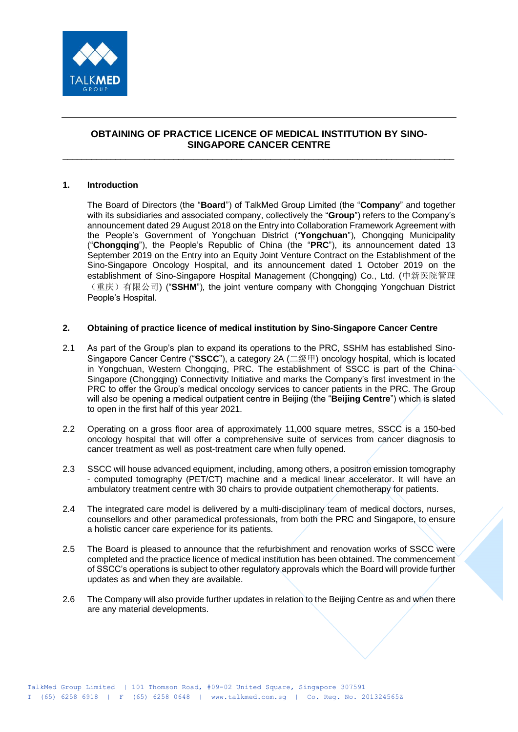

# **OBTAINING OF PRACTICE LICENCE OF MEDICAL INSTITUTION BY SINO-SINGAPORE CANCER CENTRE**

\_\_\_\_\_\_\_\_\_\_\_\_\_\_\_\_\_\_\_\_\_\_\_\_\_\_\_\_\_\_\_\_\_\_\_\_\_\_\_\_\_\_\_\_\_\_\_\_\_\_\_\_\_\_\_\_\_\_\_\_\_\_\_\_\_\_\_\_\_\_\_\_\_\_\_\_\_\_\_\_\_

## **1. Introduction**

The Board of Directors (the "**Board**") of TalkMed Group Limited (the "**Company**" and together with its subsidiaries and associated company, collectively the "**Group**") refers to the Company's announcement dated 29 August 2018 on the Entry into Collaboration Framework Agreement with the People's Government of Yongchuan District ("**Yongchuan**"), Chongqing Municipality ("**Chongqing**"), the People's Republic of China (the "**PRC**"), its announcement dated 13 September 2019 on the Entry into an Equity Joint Venture Contract on the Establishment of the Sino-Singapore Oncology Hospital, and its announcement dated 1 October 2019 on the establishment of Sino-Singapore Hospital Management (Chongqing) Co., Ltd. (中新医院管理 (重庆)有限公司) ("**SSHM**"), the joint venture company with Chongqing Yongchuan District People's Hospital.

### **2. Obtaining of practice licence of medical institution by Sino-Singapore Cancer Centre**

- 2.1 As part of the Group's plan to expand its operations to the PRC, SSHM has established Sino-Singapore Cancer Centre ("**SSCC**"), a category 2A (二级甲) oncology hospital, which is located in Yongchuan, Western Chongqing, PRC. The establishment of SSCC is part of the China-Singapore (Chongqing) Connectivity Initiative and marks the Company's first investment in the PRC to offer the Group's medical oncology services to cancer patients in the PRC. The Group will also be opening a medical outpatient centre in Beijing (the "**Beijing Centre**") which is slated to open in the first half of this year 2021.
- 2.2 Operating on a gross floor area of approximately 11,000 square metres, SSCC is a 150-bed oncology hospital that will offer a comprehensive suite of services from cancer diagnosis to cancer treatment as well as post-treatment care when fully opened.
- 2.3 SSCC will house advanced equipment, including, among others, a positron emission tomography - computed tomography (PET/CT) machine and a medical linear accelerator. It will have an ambulatory treatment centre with 30 chairs to provide outpatient chemotherapy for patients.
- 2.4 The integrated care model is delivered by a multi-disciplinary team of medical doctors, nurses, counsellors and other paramedical professionals, from both the PRC and Singapore, to ensure a holistic cancer care experience for its patients.
- 2.5 The Board is pleased to announce that the refurbishment and renovation works of SSCC were completed and the practice licence of medical institution has been obtained. The commencement of SSCC's operations is subject to other regulatory approvals which the Board will provide further updates as and when they are available.
- 2.6 The Company will also provide further updates in relation to the Beijing Centre as and when there are any material developments.